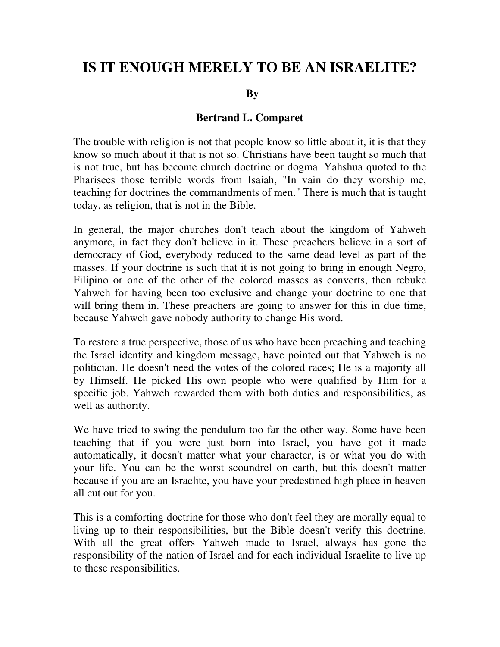## **IS IT ENOUGH MERELY TO BE AN ISRAELITE?**

 **By** 

## **Bertrand L. Comparet**

The trouble with religion is not that people know so little about it, it is that they know so much about it that is not so. Christians have been taught so much that is not true, but has become church doctrine or dogma. Yahshua quoted to the Pharisees those terrible words from Isaiah, "In vain do they worship me, teaching for doctrines the commandments of men." There is much that is taught today, as religion, that is not in the Bible.

In general, the major churches don't teach about the kingdom of Yahweh anymore, in fact they don't believe in it. These preachers believe in a sort of democracy of God, everybody reduced to the same dead level as part of the masses. If your doctrine is such that it is not going to bring in enough Negro, Filipino or one of the other of the colored masses as converts, then rebuke Yahweh for having been too exclusive and change your doctrine to one that will bring them in. These preachers are going to answer for this in due time, because Yahweh gave nobody authority to change His word.

To restore a true perspective, those of us who have been preaching and teaching the Israel identity and kingdom message, have pointed out that Yahweh is no politician. He doesn't need the votes of the colored races; He is a majority all by Himself. He picked His own people who were qualified by Him for a specific job. Yahweh rewarded them with both duties and responsibilities, as well as authority.

We have tried to swing the pendulum too far the other way. Some have been teaching that if you were just born into Israel, you have got it made automatically, it doesn't matter what your character, is or what you do with your life. You can be the worst scoundrel on earth, but this doesn't matter because if you are an Israelite, you have your predestined high place in heaven all cut out for you.

This is a comforting doctrine for those who don't feel they are morally equal to living up to their responsibilities, but the Bible doesn't verify this doctrine. With all the great offers Yahweh made to Israel, always has gone the responsibility of the nation of Israel and for each individual Israelite to live up to these responsibilities.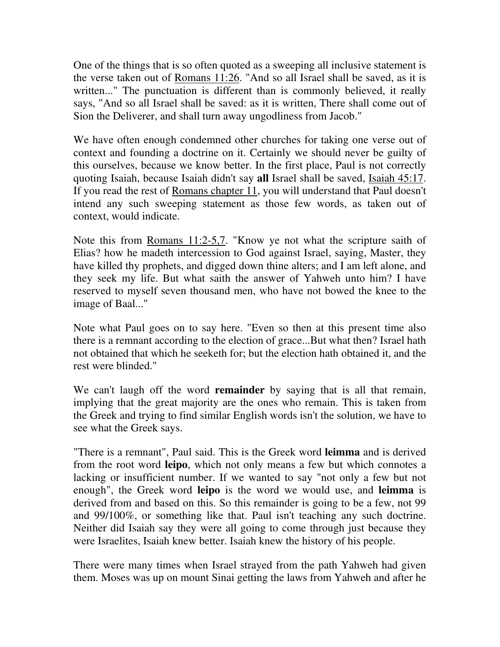One of the things that is so often quoted as a sweeping all inclusive statement is the verse taken out of Romans 11:26. "And so all Israel shall be saved, as it is written..." The punctuation is different than is commonly believed, it really says, "And so all Israel shall be saved: as it is written, There shall come out of Sion the Deliverer, and shall turn away ungodliness from Jacob."

We have often enough condemned other churches for taking one verse out of context and founding a doctrine on it. Certainly we should never be guilty of this ourselves, because we know better. In the first place, Paul is not correctly quoting Isaiah, because Isaiah didn't say **all** Israel shall be saved, Isaiah 45:17. If you read the rest of Romans chapter 11, you will understand that Paul doesn't intend any such sweeping statement as those few words, as taken out of context, would indicate.

Note this from Romans 11:2-5,7. "Know ye not what the scripture saith of Elias? how he madeth intercession to God against Israel, saying, Master, they have killed thy prophets, and digged down thine alters; and I am left alone, and they seek my life. But what saith the answer of Yahweh unto him? I have reserved to myself seven thousand men, who have not bowed the knee to the image of Baal..."

Note what Paul goes on to say here. "Even so then at this present time also there is a remnant according to the election of grace...But what then? Israel hath not obtained that which he seeketh for; but the election hath obtained it, and the rest were blinded."

We can't laugh off the word **remainder** by saying that is all that remain, implying that the great majority are the ones who remain. This is taken from the Greek and trying to find similar English words isn't the solution, we have to see what the Greek says.

"There is a remnant", Paul said. This is the Greek word **leimma** and is derived from the root word **leipo**, which not only means a few but which connotes a lacking or insufficient number. If we wanted to say "not only a few but not enough", the Greek word **leipo** is the word we would use, and **leimma** is derived from and based on this. So this remainder is going to be a few, not 99 and 99/100%, or something like that. Paul isn't teaching any such doctrine. Neither did Isaiah say they were all going to come through just because they were Israelites, Isaiah knew better. Isaiah knew the history of his people.

There were many times when Israel strayed from the path Yahweh had given them. Moses was up on mount Sinai getting the laws from Yahweh and after he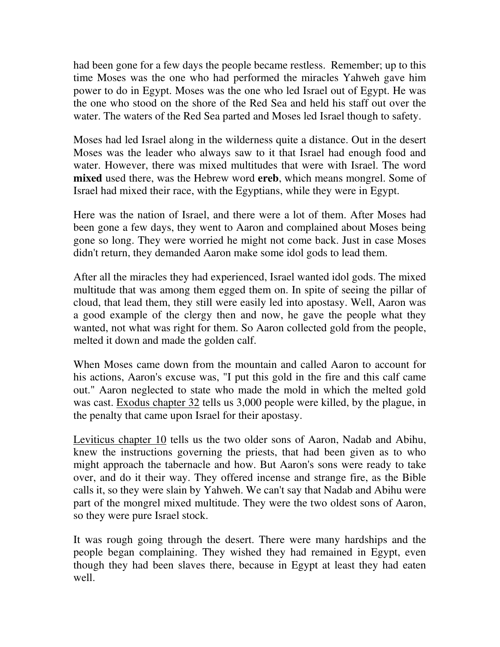had been gone for a few days the people became restless. Remember; up to this time Moses was the one who had performed the miracles Yahweh gave him power to do in Egypt. Moses was the one who led Israel out of Egypt. He was the one who stood on the shore of the Red Sea and held his staff out over the water. The waters of the Red Sea parted and Moses led Israel though to safety.

Moses had led Israel along in the wilderness quite a distance. Out in the desert Moses was the leader who always saw to it that Israel had enough food and water. However, there was mixed multitudes that were with Israel. The word **mixed** used there, was the Hebrew word **ereb**, which means mongrel. Some of Israel had mixed their race, with the Egyptians, while they were in Egypt.

Here was the nation of Israel, and there were a lot of them. After Moses had been gone a few days, they went to Aaron and complained about Moses being gone so long. They were worried he might not come back. Just in case Moses didn't return, they demanded Aaron make some idol gods to lead them.

After all the miracles they had experienced, Israel wanted idol gods. The mixed multitude that was among them egged them on. In spite of seeing the pillar of cloud, that lead them, they still were easily led into apostasy. Well, Aaron was a good example of the clergy then and now, he gave the people what they wanted, not what was right for them. So Aaron collected gold from the people, melted it down and made the golden calf.

When Moses came down from the mountain and called Aaron to account for his actions, Aaron's excuse was, "I put this gold in the fire and this calf came out." Aaron neglected to state who made the mold in which the melted gold was cast. Exodus chapter 32 tells us 3,000 people were killed, by the plague, in the penalty that came upon Israel for their apostasy.

Leviticus chapter 10 tells us the two older sons of Aaron, Nadab and Abihu, knew the instructions governing the priests, that had been given as to who might approach the tabernacle and how. But Aaron's sons were ready to take over, and do it their way. They offered incense and strange fire, as the Bible calls it, so they were slain by Yahweh. We can't say that Nadab and Abihu were part of the mongrel mixed multitude. They were the two oldest sons of Aaron, so they were pure Israel stock.

It was rough going through the desert. There were many hardships and the people began complaining. They wished they had remained in Egypt, even though they had been slaves there, because in Egypt at least they had eaten well.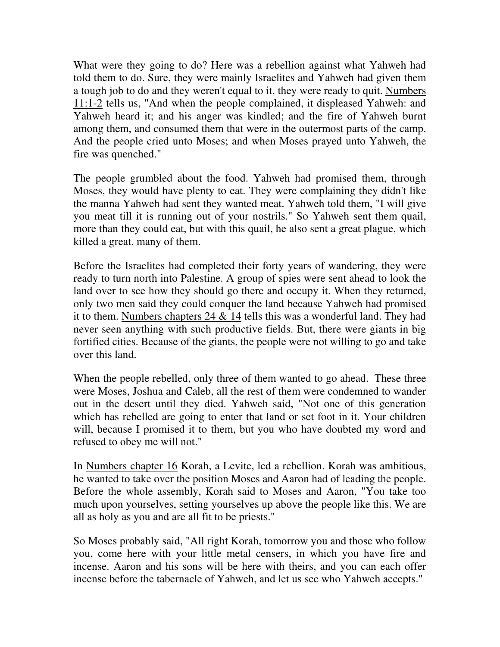What were they going to do? Here was a rebellion against what Yahweh had told them to do. Sure, they were mainly Israelites and Yahweh had given them a tough job to do and they weren't equal to it, they were ready to quit. Numbers 11:1-2 tells us, "And when the people complained, it displeased Yahweh: and Yahweh heard it; and his anger was kindled; and the fire of Yahweh burnt among them, and consumed them that were in the outermost parts of the camp. And the people cried unto Moses; and when Moses prayed unto Yahweh, the fire was quenched."

The people grumbled about the food. Yahweh had promised them, through Moses, they would have plenty to eat. They were complaining they didn't like the manna Yahweh had sent they wanted meat. Yahweh told them, "I will give you meat till it is running out of your nostrils." So Yahweh sent them quail, more than they could eat, but with this quail, he also sent a great plague, which killed a great, many of them.

Before the Israelites had completed their forty years of wandering, they were ready to turn north into Palestine. A group of spies were sent ahead to look the land over to see how they should go there and occupy it. When they returned, only two men said they could conquer the land because Yahweh had promised it to them. Numbers chapters 24 & 14 tells this was a wonderful land. They had never seen anything with such productive fields. But, there were giants in big fortified cities. Because of the giants, the people were not willing to go and take over this land.

When the people rebelled, only three of them wanted to go ahead. These three were Moses, Joshua and Caleb, all the rest of them were condemned to wander out in the desert until they died. Yahweh said, "Not one of this generation which has rebelled are going to enter that land or set foot in it. Your children will, because I promised it to them, but you who have doubted my word and refused to obey me will not."

In Numbers chapter 16 Korah, a Levite, led a rebellion. Korah was ambitious, he wanted to take over the position Moses and Aaron had of leading the people. Before the whole assembly, Korah said to Moses and Aaron, "You take too much upon yourselves, setting yourselves up above the people like this. We are all as holy as you and are all fit to be priests."

So Moses probably said, "All right Korah, tomorrow you and those who follow you, come here with your little metal censers, in which you have fire and incense. Aaron and his sons will be here with theirs, and you can each offer incense before the tabernacle of Yahweh, and let us see who Yahweh accepts."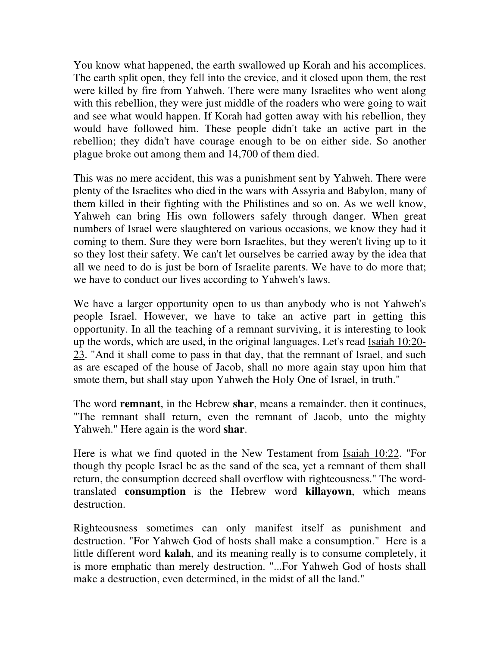You know what happened, the earth swallowed up Korah and his accomplices. The earth split open, they fell into the crevice, and it closed upon them, the rest were killed by fire from Yahweh. There were many Israelites who went along with this rebellion, they were just middle of the roaders who were going to wait and see what would happen. If Korah had gotten away with his rebellion, they would have followed him. These people didn't take an active part in the rebellion; they didn't have courage enough to be on either side. So another plague broke out among them and 14,700 of them died.

This was no mere accident, this was a punishment sent by Yahweh. There were plenty of the Israelites who died in the wars with Assyria and Babylon, many of them killed in their fighting with the Philistines and so on. As we well know, Yahweh can bring His own followers safely through danger. When great numbers of Israel were slaughtered on various occasions, we know they had it coming to them. Sure they were born Israelites, but they weren't living up to it so they lost their safety. We can't let ourselves be carried away by the idea that all we need to do is just be born of Israelite parents. We have to do more that; we have to conduct our lives according to Yahweh's laws.

We have a larger opportunity open to us than anybody who is not Yahweh's people Israel. However, we have to take an active part in getting this opportunity. In all the teaching of a remnant surviving, it is interesting to look up the words, which are used, in the original languages. Let's read Isaiah 10:20- 23. "And it shall come to pass in that day, that the remnant of Israel, and such as are escaped of the house of Jacob, shall no more again stay upon him that smote them, but shall stay upon Yahweh the Holy One of Israel, in truth."

The word **remnant**, in the Hebrew **shar**, means a remainder. then it continues, "The remnant shall return, even the remnant of Jacob, unto the mighty Yahweh." Here again is the word **shar**.

Here is what we find quoted in the New Testament from Isaiah 10:22. "For though thy people Israel be as the sand of the sea, yet a remnant of them shall return, the consumption decreed shall overflow with righteousness." The wordtranslated **consumption** is the Hebrew word **killayown**, which means destruction.

Righteousness sometimes can only manifest itself as punishment and destruction. "For Yahweh God of hosts shall make a consumption." Here is a little different word **kalah**, and its meaning really is to consume completely, it is more emphatic than merely destruction. "...For Yahweh God of hosts shall make a destruction, even determined, in the midst of all the land."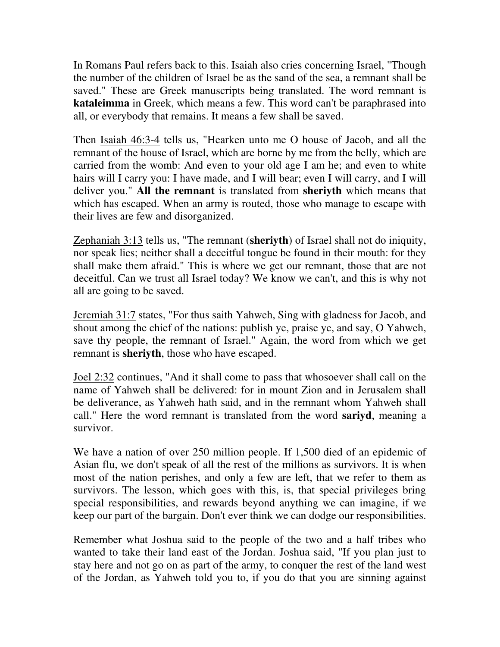In Romans Paul refers back to this. Isaiah also cries concerning Israel, "Though the number of the children of Israel be as the sand of the sea, a remnant shall be saved." These are Greek manuscripts being translated. The word remnant is **kataleimma** in Greek, which means a few. This word can't be paraphrased into all, or everybody that remains. It means a few shall be saved.

Then Isaiah 46:3-4 tells us, "Hearken unto me O house of Jacob, and all the remnant of the house of Israel, which are borne by me from the belly, which are carried from the womb: And even to your old age I am he; and even to white hairs will I carry you: I have made, and I will bear; even I will carry, and I will deliver you." **All the remnant** is translated from **sheriyth** which means that which has escaped. When an army is routed, those who manage to escape with their lives are few and disorganized.

Zephaniah 3:13 tells us, "The remnant (**sheriyth**) of Israel shall not do iniquity, nor speak lies; neither shall a deceitful tongue be found in their mouth: for they shall make them afraid." This is where we get our remnant, those that are not deceitful. Can we trust all Israel today? We know we can't, and this is why not all are going to be saved.

Jeremiah 31:7 states, "For thus saith Yahweh, Sing with gladness for Jacob, and shout among the chief of the nations: publish ye, praise ye, and say, O Yahweh, save thy people, the remnant of Israel." Again, the word from which we get remnant is **sheriyth**, those who have escaped.

Joel 2:32 continues, "And it shall come to pass that whosoever shall call on the name of Yahweh shall be delivered: for in mount Zion and in Jerusalem shall be deliverance, as Yahweh hath said, and in the remnant whom Yahweh shall call." Here the word remnant is translated from the word **sariyd**, meaning a survivor.

We have a nation of over 250 million people. If 1,500 died of an epidemic of Asian flu, we don't speak of all the rest of the millions as survivors. It is when most of the nation perishes, and only a few are left, that we refer to them as survivors. The lesson, which goes with this, is, that special privileges bring special responsibilities, and rewards beyond anything we can imagine, if we keep our part of the bargain. Don't ever think we can dodge our responsibilities.

Remember what Joshua said to the people of the two and a half tribes who wanted to take their land east of the Jordan. Joshua said, "If you plan just to stay here and not go on as part of the army, to conquer the rest of the land west of the Jordan, as Yahweh told you to, if you do that you are sinning against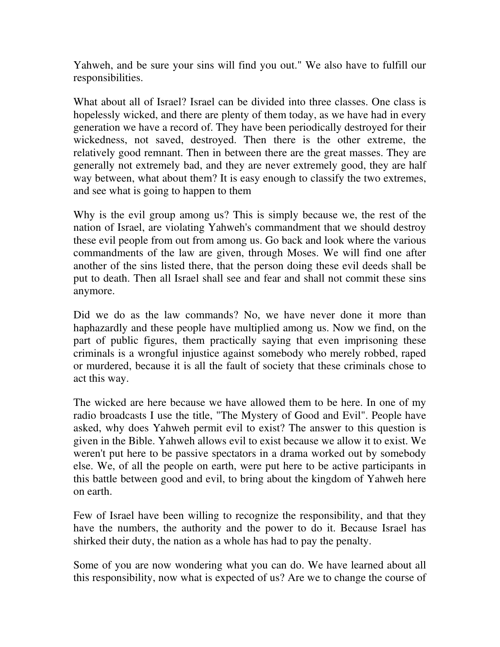Yahweh, and be sure your sins will find you out." We also have to fulfill our responsibilities.

What about all of Israel? Israel can be divided into three classes. One class is hopelessly wicked, and there are plenty of them today, as we have had in every generation we have a record of. They have been periodically destroyed for their wickedness, not saved, destroyed. Then there is the other extreme, the relatively good remnant. Then in between there are the great masses. They are generally not extremely bad, and they are never extremely good, they are half way between, what about them? It is easy enough to classify the two extremes, and see what is going to happen to them

Why is the evil group among us? This is simply because we, the rest of the nation of Israel, are violating Yahweh's commandment that we should destroy these evil people from out from among us. Go back and look where the various commandments of the law are given, through Moses. We will find one after another of the sins listed there, that the person doing these evil deeds shall be put to death. Then all Israel shall see and fear and shall not commit these sins anymore.

Did we do as the law commands? No, we have never done it more than haphazardly and these people have multiplied among us. Now we find, on the part of public figures, them practically saying that even imprisoning these criminals is a wrongful injustice against somebody who merely robbed, raped or murdered, because it is all the fault of society that these criminals chose to act this way.

The wicked are here because we have allowed them to be here. In one of my radio broadcasts I use the title, "The Mystery of Good and Evil". People have asked, why does Yahweh permit evil to exist? The answer to this question is given in the Bible. Yahweh allows evil to exist because we allow it to exist. We weren't put here to be passive spectators in a drama worked out by somebody else. We, of all the people on earth, were put here to be active participants in this battle between good and evil, to bring about the kingdom of Yahweh here on earth.

Few of Israel have been willing to recognize the responsibility, and that they have the numbers, the authority and the power to do it. Because Israel has shirked their duty, the nation as a whole has had to pay the penalty.

Some of you are now wondering what you can do. We have learned about all this responsibility, now what is expected of us? Are we to change the course of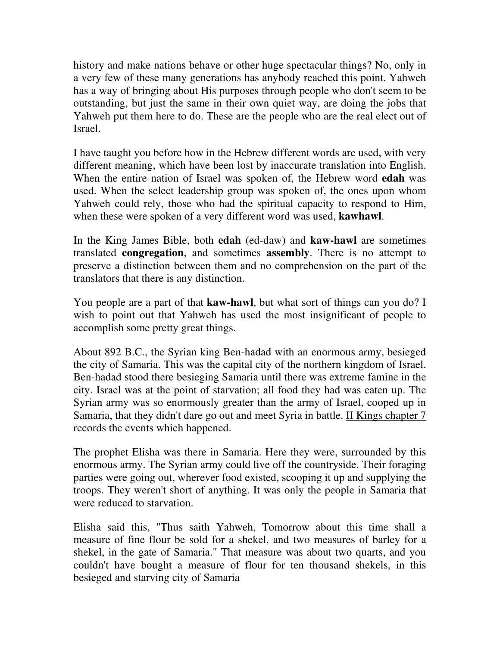history and make nations behave or other huge spectacular things? No, only in a very few of these many generations has anybody reached this point. Yahweh has a way of bringing about His purposes through people who don't seem to be outstanding, but just the same in their own quiet way, are doing the jobs that Yahweh put them here to do. These are the people who are the real elect out of Israel.

I have taught you before how in the Hebrew different words are used, with very different meaning, which have been lost by inaccurate translation into English. When the entire nation of Israel was spoken of, the Hebrew word **edah** was used. When the select leadership group was spoken of, the ones upon whom Yahweh could rely, those who had the spiritual capacity to respond to Him, when these were spoken of a very different word was used, **kawhawl**.

In the King James Bible, both **edah** (ed-daw) and **kaw-hawl** are sometimes translated **congregation**, and sometimes **assembly**. There is no attempt to preserve a distinction between them and no comprehension on the part of the translators that there is any distinction.

You people are a part of that **kaw-hawl**, but what sort of things can you do? I wish to point out that Yahweh has used the most insignificant of people to accomplish some pretty great things.

About 892 B.C., the Syrian king Ben-hadad with an enormous army, besieged the city of Samaria. This was the capital city of the northern kingdom of Israel. Ben-hadad stood there besieging Samaria until there was extreme famine in the city. Israel was at the point of starvation; all food they had was eaten up. The Syrian army was so enormously greater than the army of Israel, cooped up in Samaria, that they didn't dare go out and meet Syria in battle. II Kings chapter 7 records the events which happened.

The prophet Elisha was there in Samaria. Here they were, surrounded by this enormous army. The Syrian army could live off the countryside. Their foraging parties were going out, wherever food existed, scooping it up and supplying the troops. They weren't short of anything. It was only the people in Samaria that were reduced to starvation.

Elisha said this, "Thus saith Yahweh, Tomorrow about this time shall a measure of fine flour be sold for a shekel, and two measures of barley for a shekel, in the gate of Samaria." That measure was about two quarts, and you couldn't have bought a measure of flour for ten thousand shekels, in this besieged and starving city of Samaria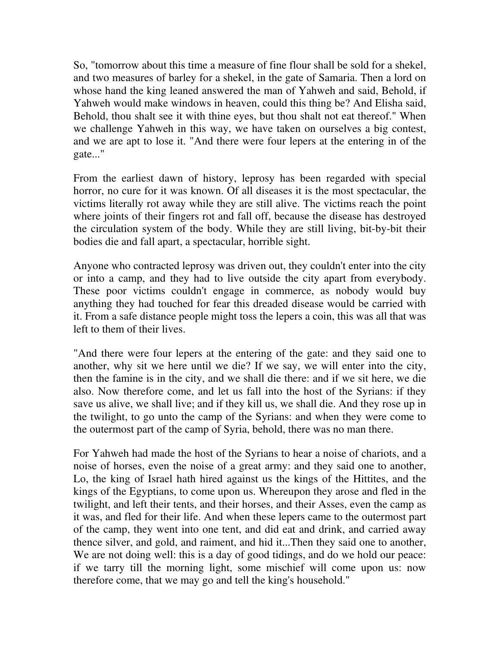So, "tomorrow about this time a measure of fine flour shall be sold for a shekel, and two measures of barley for a shekel, in the gate of Samaria. Then a lord on whose hand the king leaned answered the man of Yahweh and said, Behold, if Yahweh would make windows in heaven, could this thing be? And Elisha said, Behold, thou shalt see it with thine eyes, but thou shalt not eat thereof." When we challenge Yahweh in this way, we have taken on ourselves a big contest, and we are apt to lose it. "And there were four lepers at the entering in of the gate..."

From the earliest dawn of history, leprosy has been regarded with special horror, no cure for it was known. Of all diseases it is the most spectacular, the victims literally rot away while they are still alive. The victims reach the point where joints of their fingers rot and fall off, because the disease has destroyed the circulation system of the body. While they are still living, bit-by-bit their bodies die and fall apart, a spectacular, horrible sight.

Anyone who contracted leprosy was driven out, they couldn't enter into the city or into a camp, and they had to live outside the city apart from everybody. These poor victims couldn't engage in commerce, as nobody would buy anything they had touched for fear this dreaded disease would be carried with it. From a safe distance people might toss the lepers a coin, this was all that was left to them of their lives.

"And there were four lepers at the entering of the gate: and they said one to another, why sit we here until we die? If we say, we will enter into the city, then the famine is in the city, and we shall die there: and if we sit here, we die also. Now therefore come, and let us fall into the host of the Syrians: if they save us alive, we shall live; and if they kill us, we shall die. And they rose up in the twilight, to go unto the camp of the Syrians: and when they were come to the outermost part of the camp of Syria, behold, there was no man there.

For Yahweh had made the host of the Syrians to hear a noise of chariots, and a noise of horses, even the noise of a great army: and they said one to another, Lo, the king of Israel hath hired against us the kings of the Hittites, and the kings of the Egyptians, to come upon us. Whereupon they arose and fled in the twilight, and left their tents, and their horses, and their Asses, even the camp as it was, and fled for their life. And when these lepers came to the outermost part of the camp, they went into one tent, and did eat and drink, and carried away thence silver, and gold, and raiment, and hid it...Then they said one to another, We are not doing well: this is a day of good tidings, and do we hold our peace: if we tarry till the morning light, some mischief will come upon us: now therefore come, that we may go and tell the king's household."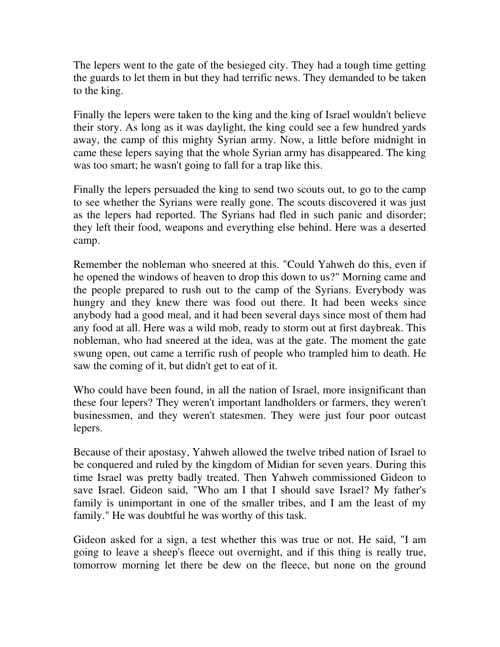The lepers went to the gate of the besieged city. They had a tough time getting the guards to let them in but they had terrific news. They demanded to be taken to the king.

Finally the lepers were taken to the king and the king of Israel wouldn't believe their story. As long as it was daylight, the king could see a few hundred yards away, the camp of this mighty Syrian army. Now, a little before midnight in came these lepers saying that the whole Syrian army has disappeared. The king was too smart; he wasn't going to fall for a trap like this.

Finally the lepers persuaded the king to send two scouts out, to go to the camp to see whether the Syrians were really gone. The scouts discovered it was just as the lepers had reported. The Syrians had fled in such panic and disorder; they left their food, weapons and everything else behind. Here was a deserted camp.

Remember the nobleman who sneered at this. "Could Yahweh do this, even if he opened the windows of heaven to drop this down to us?" Morning came and the people prepared to rush out to the camp of the Syrians. Everybody was hungry and they knew there was food out there. It had been weeks since anybody had a good meal, and it had been several days since most of them had any food at all. Here was a wild mob, ready to storm out at first daybreak. This nobleman, who had sneered at the idea, was at the gate. The moment the gate swung open, out came a terrific rush of people who trampled him to death. He saw the coming of it, but didn't get to eat of it.

Who could have been found, in all the nation of Israel, more insignificant than these four lepers? They weren't important landholders or farmers, they weren't businessmen, and they weren't statesmen. They were just four poor outcast lepers.

Because of their apostasy, Yahweh allowed the twelve tribed nation of Israel to be conquered and ruled by the kingdom of Midian for seven years. During this time Israel was pretty badly treated. Then Yahweh commissioned Gideon to save Israel. Gideon said, "Who am I that I should save Israel? My father's family is unimportant in one of the smaller tribes, and I am the least of my family." He was doubtful he was worthy of this task.

Gideon asked for a sign, a test whether this was true or not. He said, "I am going to leave a sheep's fleece out overnight, and if this thing is really true, tomorrow morning let there be dew on the fleece, but none on the ground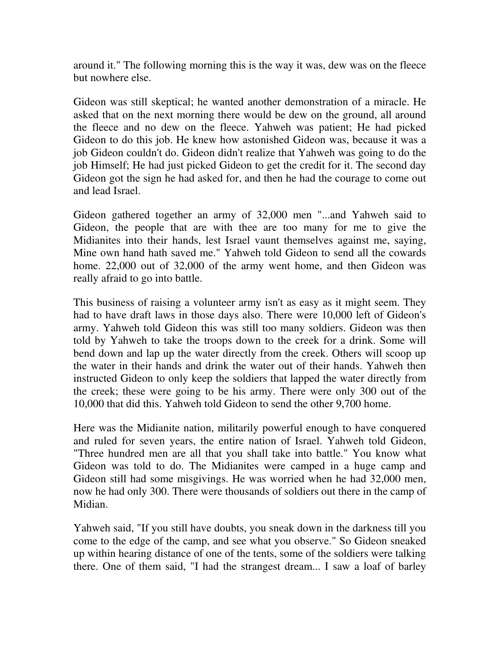around it." The following morning this is the way it was, dew was on the fleece but nowhere else.

Gideon was still skeptical; he wanted another demonstration of a miracle. He asked that on the next morning there would be dew on the ground, all around the fleece and no dew on the fleece. Yahweh was patient; He had picked Gideon to do this job. He knew how astonished Gideon was, because it was a job Gideon couldn't do. Gideon didn't realize that Yahweh was going to do the job Himself; He had just picked Gideon to get the credit for it. The second day Gideon got the sign he had asked for, and then he had the courage to come out and lead Israel.

Gideon gathered together an army of 32,000 men "...and Yahweh said to Gideon, the people that are with thee are too many for me to give the Midianites into their hands, lest Israel vaunt themselves against me, saying, Mine own hand hath saved me." Yahweh told Gideon to send all the cowards home. 22,000 out of 32,000 of the army went home, and then Gideon was really afraid to go into battle.

This business of raising a volunteer army isn't as easy as it might seem. They had to have draft laws in those days also. There were 10,000 left of Gideon's army. Yahweh told Gideon this was still too many soldiers. Gideon was then told by Yahweh to take the troops down to the creek for a drink. Some will bend down and lap up the water directly from the creek. Others will scoop up the water in their hands and drink the water out of their hands. Yahweh then instructed Gideon to only keep the soldiers that lapped the water directly from the creek; these were going to be his army. There were only 300 out of the 10,000 that did this. Yahweh told Gideon to send the other 9,700 home.

Here was the Midianite nation, militarily powerful enough to have conquered and ruled for seven years, the entire nation of Israel. Yahweh told Gideon, "Three hundred men are all that you shall take into battle." You know what Gideon was told to do. The Midianites were camped in a huge camp and Gideon still had some misgivings. He was worried when he had 32,000 men, now he had only 300. There were thousands of soldiers out there in the camp of Midian.

Yahweh said, "If you still have doubts, you sneak down in the darkness till you come to the edge of the camp, and see what you observe." So Gideon sneaked up within hearing distance of one of the tents, some of the soldiers were talking there. One of them said, "I had the strangest dream... I saw a loaf of barley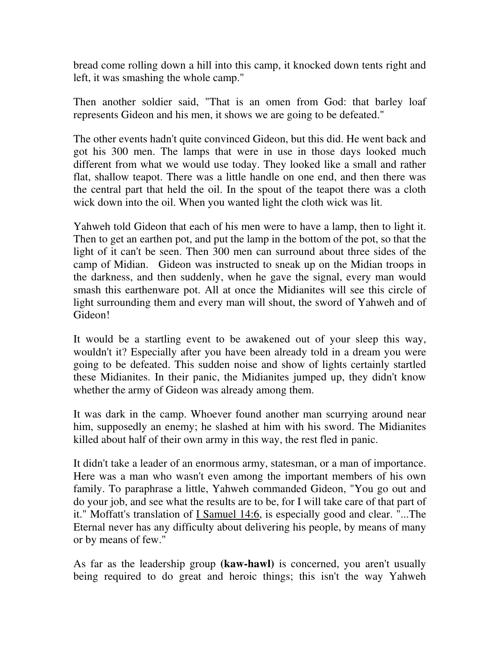bread come rolling down a hill into this camp, it knocked down tents right and left, it was smashing the whole camp."

Then another soldier said, "That is an omen from God: that barley loaf represents Gideon and his men, it shows we are going to be defeated."

The other events hadn't quite convinced Gideon, but this did. He went back and got his 300 men. The lamps that were in use in those days looked much different from what we would use today. They looked like a small and rather flat, shallow teapot. There was a little handle on one end, and then there was the central part that held the oil. In the spout of the teapot there was a cloth wick down into the oil. When you wanted light the cloth wick was lit.

Yahweh told Gideon that each of his men were to have a lamp, then to light it. Then to get an earthen pot, and put the lamp in the bottom of the pot, so that the light of it can't be seen. Then 300 men can surround about three sides of the camp of Midian. Gideon was instructed to sneak up on the Midian troops in the darkness, and then suddenly, when he gave the signal, every man would smash this earthenware pot. All at once the Midianites will see this circle of light surrounding them and every man will shout, the sword of Yahweh and of Gideon!

It would be a startling event to be awakened out of your sleep this way, wouldn't it? Especially after you have been already told in a dream you were going to be defeated. This sudden noise and show of lights certainly startled these Midianites. In their panic, the Midianites jumped up, they didn't know whether the army of Gideon was already among them.

It was dark in the camp. Whoever found another man scurrying around near him, supposedly an enemy; he slashed at him with his sword. The Midianites killed about half of their own army in this way, the rest fled in panic.

It didn't take a leader of an enormous army, statesman, or a man of importance. Here was a man who wasn't even among the important members of his own family. To paraphrase a little, Yahweh commanded Gideon, "You go out and do your job, and see what the results are to be, for I will take care of that part of it." Moffatt's translation of I Samuel 14:6, is especially good and clear. "...The Eternal never has any difficulty about delivering his people, by means of many or by means of few."

As far as the leadership group **(kaw-hawl)** is concerned, you aren't usually being required to do great and heroic things; this isn't the way Yahweh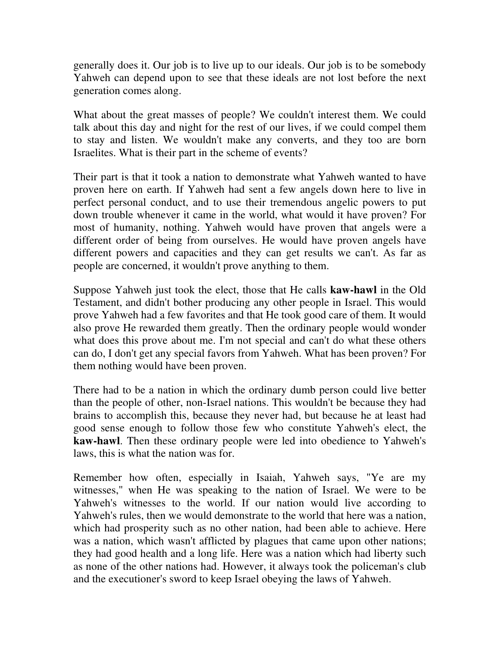generally does it. Our job is to live up to our ideals. Our job is to be somebody Yahweh can depend upon to see that these ideals are not lost before the next generation comes along.

What about the great masses of people? We couldn't interest them. We could talk about this day and night for the rest of our lives, if we could compel them to stay and listen. We wouldn't make any converts, and they too are born Israelites. What is their part in the scheme of events?

Their part is that it took a nation to demonstrate what Yahweh wanted to have proven here on earth. If Yahweh had sent a few angels down here to live in perfect personal conduct, and to use their tremendous angelic powers to put down trouble whenever it came in the world, what would it have proven? For most of humanity, nothing. Yahweh would have proven that angels were a different order of being from ourselves. He would have proven angels have different powers and capacities and they can get results we can't. As far as people are concerned, it wouldn't prove anything to them.

Suppose Yahweh just took the elect, those that He calls **kaw-hawl** in the Old Testament, and didn't bother producing any other people in Israel. This would prove Yahweh had a few favorites and that He took good care of them. It would also prove He rewarded them greatly. Then the ordinary people would wonder what does this prove about me. I'm not special and can't do what these others can do, I don't get any special favors from Yahweh. What has been proven? For them nothing would have been proven.

There had to be a nation in which the ordinary dumb person could live better than the people of other, non-Israel nations. This wouldn't be because they had brains to accomplish this, because they never had, but because he at least had good sense enough to follow those few who constitute Yahweh's elect, the **kaw-hawl**. Then these ordinary people were led into obedience to Yahweh's laws, this is what the nation was for.

Remember how often, especially in Isaiah, Yahweh says, "Ye are my witnesses," when He was speaking to the nation of Israel. We were to be Yahweh's witnesses to the world. If our nation would live according to Yahweh's rules, then we would demonstrate to the world that here was a nation, which had prosperity such as no other nation, had been able to achieve. Here was a nation, which wasn't afflicted by plagues that came upon other nations; they had good health and a long life. Here was a nation which had liberty such as none of the other nations had. However, it always took the policeman's club and the executioner's sword to keep Israel obeying the laws of Yahweh.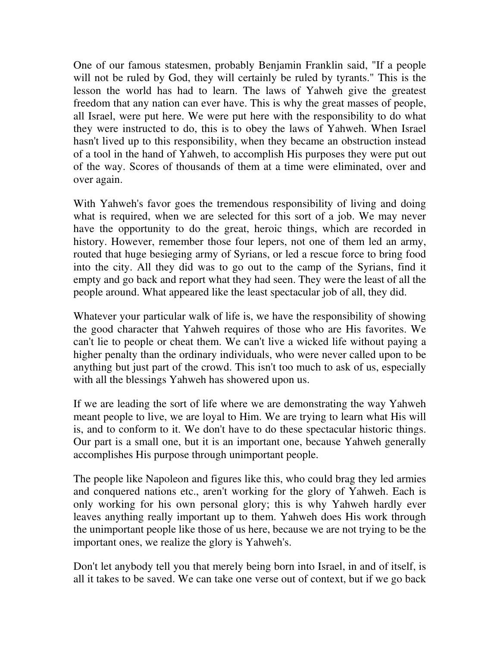One of our famous statesmen, probably Benjamin Franklin said, "If a people will not be ruled by God, they will certainly be ruled by tyrants." This is the lesson the world has had to learn. The laws of Yahweh give the greatest freedom that any nation can ever have. This is why the great masses of people, all Israel, were put here. We were put here with the responsibility to do what they were instructed to do, this is to obey the laws of Yahweh. When Israel hasn't lived up to this responsibility, when they became an obstruction instead of a tool in the hand of Yahweh, to accomplish His purposes they were put out of the way. Scores of thousands of them at a time were eliminated, over and over again.

With Yahweh's favor goes the tremendous responsibility of living and doing what is required, when we are selected for this sort of a job. We may never have the opportunity to do the great, heroic things, which are recorded in history. However, remember those four lepers, not one of them led an army, routed that huge besieging army of Syrians, or led a rescue force to bring food into the city. All they did was to go out to the camp of the Syrians, find it empty and go back and report what they had seen. They were the least of all the people around. What appeared like the least spectacular job of all, they did.

Whatever your particular walk of life is, we have the responsibility of showing the good character that Yahweh requires of those who are His favorites. We can't lie to people or cheat them. We can't live a wicked life without paying a higher penalty than the ordinary individuals, who were never called upon to be anything but just part of the crowd. This isn't too much to ask of us, especially with all the blessings Yahweh has showered upon us.

If we are leading the sort of life where we are demonstrating the way Yahweh meant people to live, we are loyal to Him. We are trying to learn what His will is, and to conform to it. We don't have to do these spectacular historic things. Our part is a small one, but it is an important one, because Yahweh generally accomplishes His purpose through unimportant people.

The people like Napoleon and figures like this, who could brag they led armies and conquered nations etc., aren't working for the glory of Yahweh. Each is only working for his own personal glory; this is why Yahweh hardly ever leaves anything really important up to them. Yahweh does His work through the unimportant people like those of us here, because we are not trying to be the important ones, we realize the glory is Yahweh's.

Don't let anybody tell you that merely being born into Israel, in and of itself, is all it takes to be saved. We can take one verse out of context, but if we go back